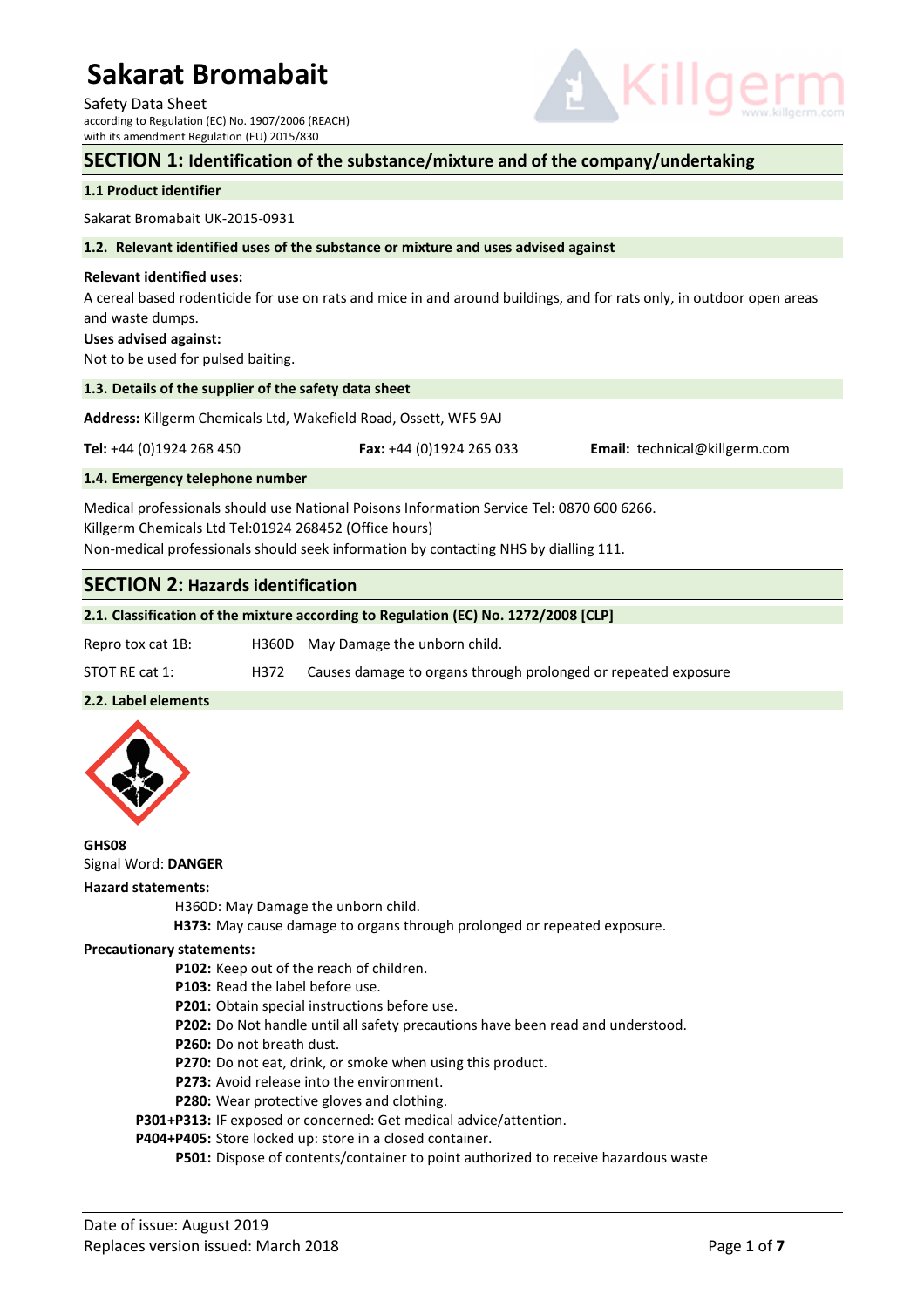Safety Data Sheet according to Regulation (EC) No. 1907/2006 (REACH) with its amendment Regulation (EU) 2015/830



### **SECTION 1: Identification of the substance/mixture and of the company/undertaking**

### **1.1 Product identifier**

Sakarat Bromabait UK-2015-0931

#### **1.2. Relevant identified uses of the substance or mixture and uses advised against**

#### **Relevant identified uses:**

A cereal based rodenticide for use on rats and mice in and around buildings, and for rats only, in outdoor open areas and waste dumps.

#### **Uses advised against:**

Not to be used for pulsed baiting.

#### **1.3. Details of the supplier of the safety data sheet**

**Address:** Killgerm Chemicals Ltd, Wakefield Road, Ossett, WF5 9AJ

**Tel:** +44 (0)1924 268 450 **Fax:** +44 (0)1924 265 033 **Email:** technical@killgerm.com

#### **1.4. Emergency telephone number**

Medical professionals should use National Poisons Information Service Tel: 0870 600 6266. Killgerm Chemicals Ltd Tel:01924 268452 (Office hours) Non-medical professionals should seek information by contacting NHS by dialling 111.

# **SECTION 2: Hazards identification**

### **2.1. Classification of the mixture according to Regulation (EC) No. 1272/2008 [CLP]**

| Repro tox cat 1B: |      | H360D May Damage the unborn child.                             |
|-------------------|------|----------------------------------------------------------------|
| STOT RE cat 1:    | H372 | Causes damage to organs through prolonged or repeated exposure |

### **2.2. Label elements**



**GHS08**  Signal Word: **DANGER** 

#### **Hazard statements:**

H360D: May Damage the unborn child.

 **H373:** May cause damage to organs through prolonged or repeated exposure.

### **Precautionary statements:**

- **P102:** Keep out of the reach of children.
- **P103:** Read the label before use.
- **P201:** Obtain special instructions before use.
- **P202:** Do Not handle until all safety precautions have been read and understood.
- **P260:** Do not breath dust.
- **P270:** Do not eat, drink, or smoke when using this product.
- **P273:** Avoid release into the environment.
- **P280:** Wear protective gloves and clothing.

**P301+P313:** IF exposed or concerned: Get medical advice/attention.

**P404+P405:** Store locked up: store in a closed container.

 **P501:** Dispose of contents/container to point authorized to receive hazardous waste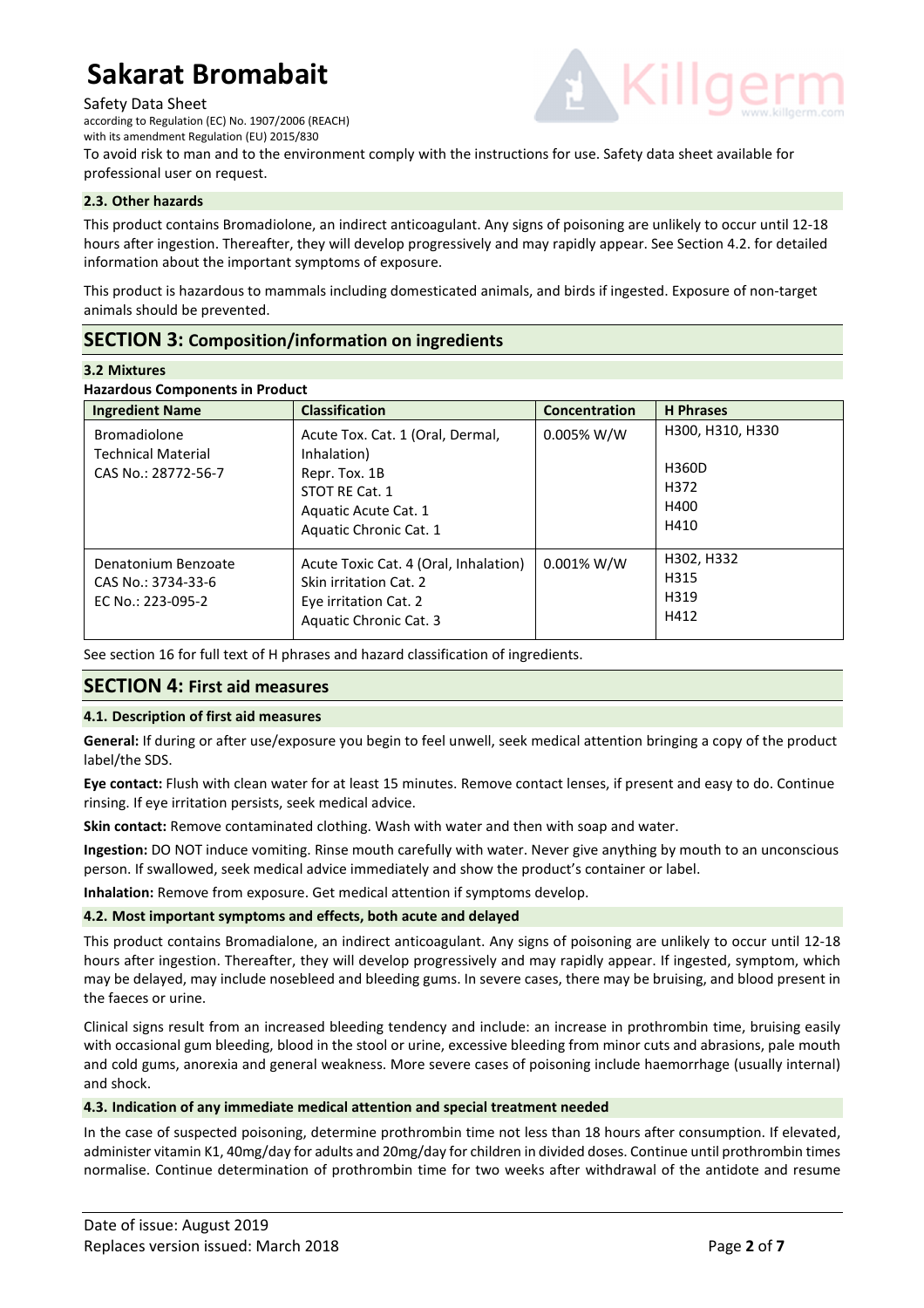Safety Data Sheet

according to Regulation (EC) No. 1907/2006 (REACH)

with its amendment Regulation (EU) 2015/830



To avoid risk to man and to the environment comply with the instructions for use. Safety data sheet available for professional user on request.

# **2.3. Other hazards**

This product contains Bromadiolone, an indirect anticoagulant. Any signs of poisoning are unlikely to occur until 12-18 hours after ingestion. Thereafter, they will develop progressively and may rapidly appear. See Section 4.2. for detailed information about the important symptoms of exposure.

This product is hazardous to mammals including domesticated animals, and birds if ingested. Exposure of non-target animals should be prevented.

# **SECTION 3: Composition/information on ingredients**

### **3.2 Mixtures**

### **Hazardous Components in Product**

| <b>Ingredient Name</b>                                                  | <b>Classification</b>                                                                                                                | Concentration | <b>H</b> Phrases                                  |
|-------------------------------------------------------------------------|--------------------------------------------------------------------------------------------------------------------------------------|---------------|---------------------------------------------------|
| <b>Bromadiolone</b><br><b>Technical Material</b><br>CAS No.: 28772-56-7 | Acute Tox. Cat. 1 (Oral, Dermal,<br>Inhalation)<br>Repr. Tox. 1B<br>STOT RE Cat. 1<br>Aquatic Acute Cat. 1<br>Aquatic Chronic Cat. 1 | $0.005\%$ W/W | H300, H310, H330<br>H360D<br>H372<br>H400<br>H410 |
| Denatonium Benzoate<br>CAS No.: 3734-33-6<br>EC No.: 223-095-2          | Acute Toxic Cat. 4 (Oral, Inhalation)<br>Skin irritation Cat. 2<br>Eye irritation Cat. 2<br>Aquatic Chronic Cat. 3                   | $0.001\%$ W/W | H302, H332<br>H315<br>H319<br>H412                |

See section 16 for full text of H phrases and hazard classification of ingredients.

# **SECTION 4: First aid measures**

# **4.1. Description of first aid measures**

**General:** If during or after use/exposure you begin to feel unwell, seek medical attention bringing a copy of the product label/the SDS.

**Eye contact:** Flush with clean water for at least 15 minutes. Remove contact lenses, if present and easy to do. Continue rinsing. If eye irritation persists, seek medical advice.

**Skin contact:** Remove contaminated clothing. Wash with water and then with soap and water.

**Ingestion:** DO NOT induce vomiting. Rinse mouth carefully with water. Never give anything by mouth to an unconscious person. If swallowed, seek medical advice immediately and show the product's container or label.

**Inhalation:** Remove from exposure. Get medical attention if symptoms develop.

# **4.2. Most important symptoms and effects, both acute and delayed**

This product contains Bromadialone, an indirect anticoagulant. Any signs of poisoning are unlikely to occur until 12-18 hours after ingestion. Thereafter, they will develop progressively and may rapidly appear. If ingested, symptom, which may be delayed, may include nosebleed and bleeding gums. In severe cases, there may be bruising, and blood present in the faeces or urine.

Clinical signs result from an increased bleeding tendency and include: an increase in prothrombin time, bruising easily with occasional gum bleeding, blood in the stool or urine, excessive bleeding from minor cuts and abrasions, pale mouth and cold gums, anorexia and general weakness. More severe cases of poisoning include haemorrhage (usually internal) and shock.

# **4.3. Indication of any immediate medical attention and special treatment needed**

In the case of suspected poisoning, determine prothrombin time not less than 18 hours after consumption. If elevated, administer vitamin K1, 40mg/day for adults and 20mg/day for children in divided doses. Continue until prothrombin times normalise. Continue determination of prothrombin time for two weeks after withdrawal of the antidote and resume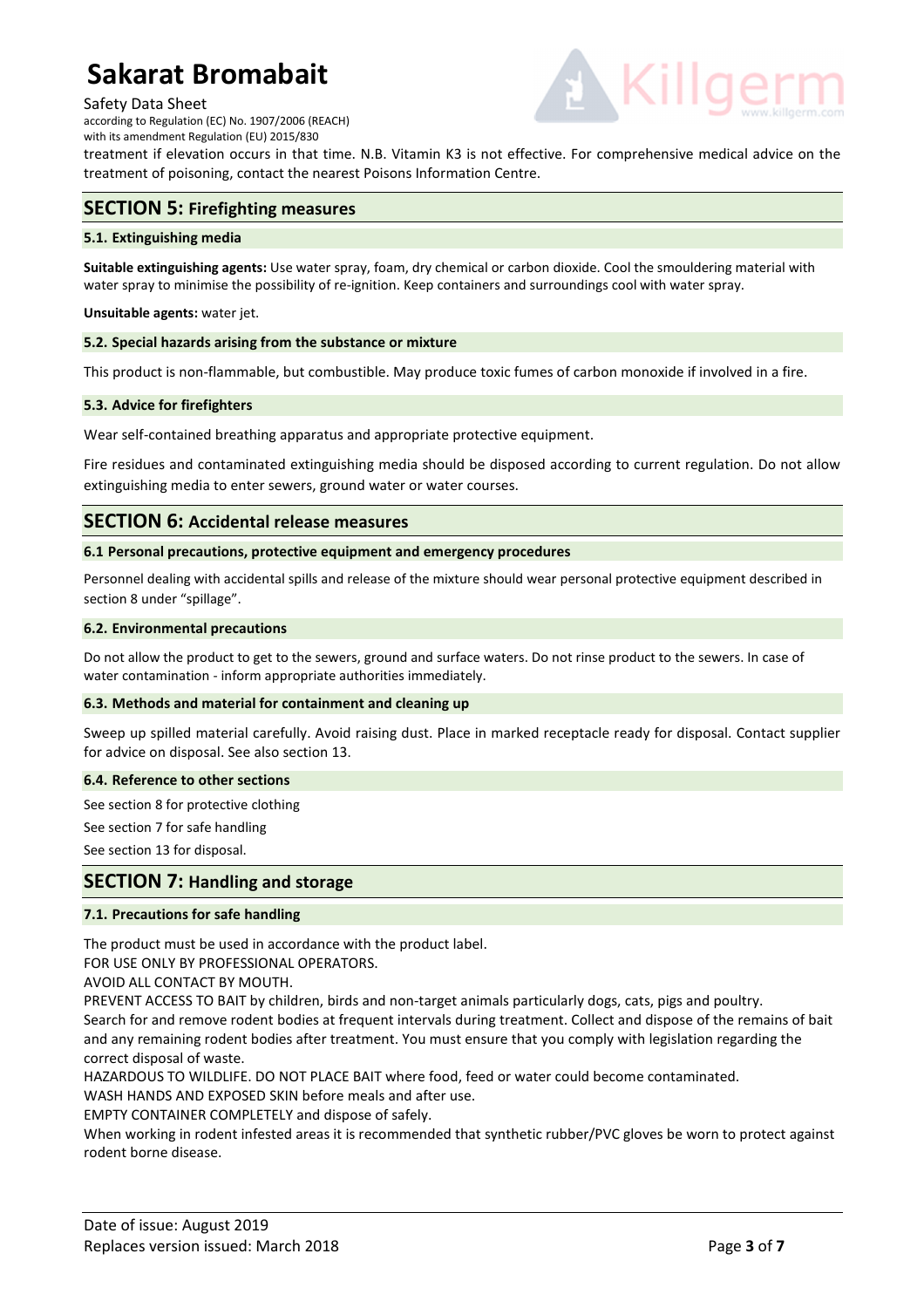### Safety Data Sheet

according to Regulation (EC) No. 1907/2006 (REACH) with its amendment Regulation (EU) 2015/830



treatment if elevation occurs in that time. N.B. Vitamin K3 is not effective. For comprehensive medical advice on the treatment of poisoning, contact the nearest Poisons Information Centre.

# **SECTION 5: Firefighting measures**

### **5.1. Extinguishing media**

**Suitable extinguishing agents:** Use water spray, foam, dry chemical or carbon dioxide. Cool the smouldering material with water spray to minimise the possibility of re-ignition. Keep containers and surroundings cool with water spray.

### **Unsuitable agents:** water jet.

### **5.2. Special hazards arising from the substance or mixture**

This product is non-flammable, but combustible. May produce toxic fumes of carbon monoxide if involved in a fire.

### **5.3. Advice for firefighters**

Wear self-contained breathing apparatus and appropriate protective equipment.

Fire residues and contaminated extinguishing media should be disposed according to current regulation. Do not allow extinguishing media to enter sewers, ground water or water courses.

# **SECTION 6: Accidental release measures**

### **6.1 Personal precautions, protective equipment and emergency procedures**

Personnel dealing with accidental spills and release of the mixture should wear personal protective equipment described in section 8 under "spillage".

### **6.2. Environmental precautions**

Do not allow the product to get to the sewers, ground and surface waters. Do not rinse product to the sewers. In case of water contamination - inform appropriate authorities immediately.

### **6.3. Methods and material for containment and cleaning up**

Sweep up spilled material carefully. Avoid raising dust. Place in marked receptacle ready for disposal. Contact supplier for advice on disposal. See also section 13.

### **6.4. Reference to other sections**

See section 8 for protective clothing

See section 7 for safe handling

See section 13 for disposal.

### **SECTION 7: Handling and storage**

### **7.1. Precautions for safe handling**

The product must be used in accordance with the product label.

FOR USE ONLY BY PROFESSIONAL OPERATORS.

AVOID ALL CONTACT BY MOUTH.

PREVENT ACCESS TO BAIT by children, birds and non-target animals particularly dogs, cats, pigs and poultry. Search for and remove rodent bodies at frequent intervals during treatment. Collect and dispose of the remains of bait and any remaining rodent bodies after treatment. You must ensure that you comply with legislation regarding the correct disposal of waste.

HAZARDOUS TO WILDLIFE. DO NOT PLACE BAIT where food, feed or water could become contaminated.

WASH HANDS AND EXPOSED SKIN before meals and after use.

EMPTY CONTAINER COMPLETELY and dispose of safely.

When working in rodent infested areas it is recommended that synthetic rubber/PVC gloves be worn to protect against rodent borne disease.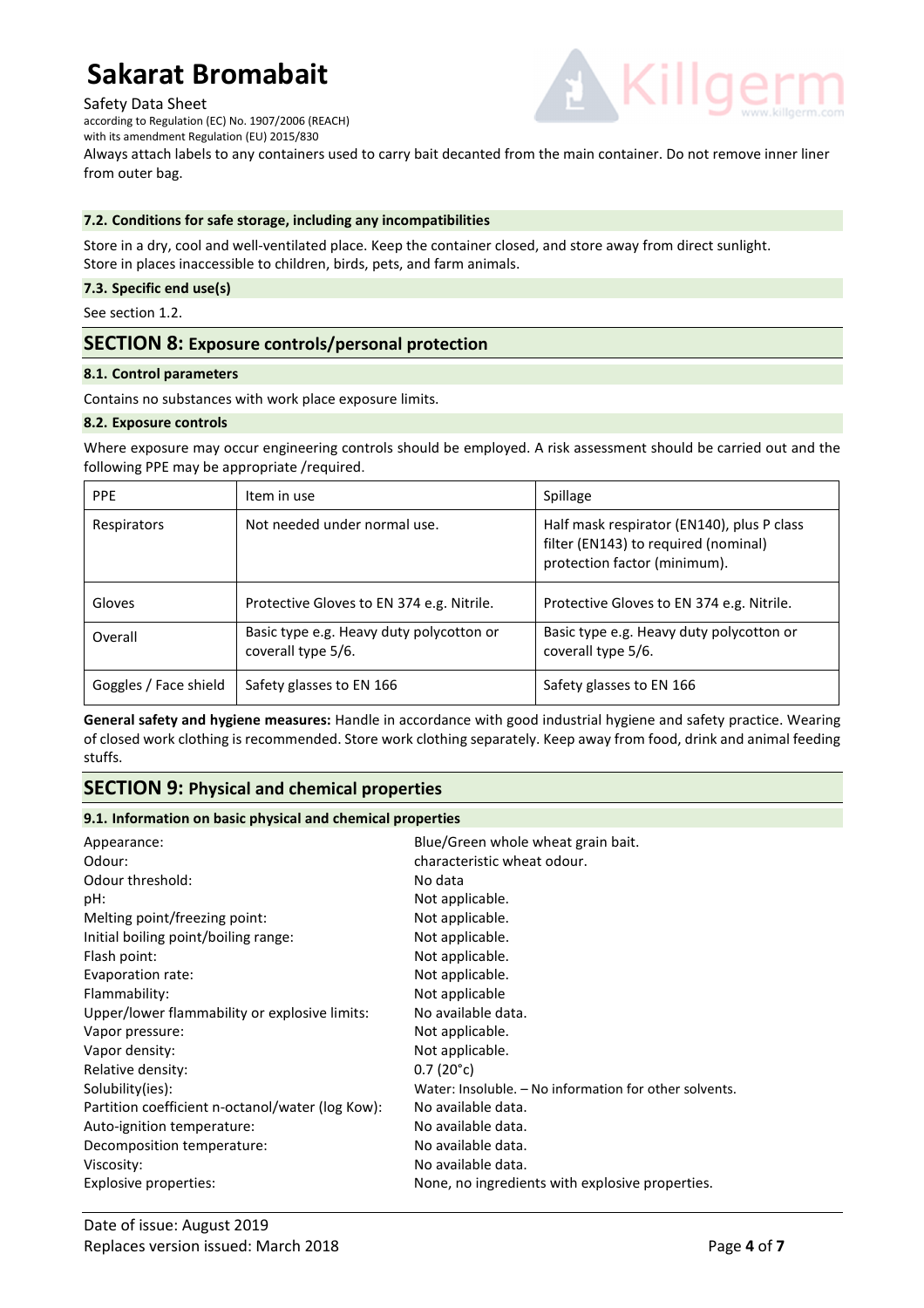### Safety Data Sheet

according to Regulation (EC) No. 1907/2006 (REACH)

with its amendment Regulation (EU) 2015/830

Always attach labels to any containers used to carry bait decanted from the main container. Do not remove inner liner from outer bag.

### **7.2. Conditions for safe storage, including any incompatibilities**

Store in a dry, cool and well-ventilated place. Keep the container closed, and store away from direct sunlight. Store in places inaccessible to children, birds, pets, and farm animals.

### **7.3. Specific end use(s)**

See section 1.2.

# **SECTION 8: Exposure controls/personal protection**

### **8.1. Control parameters**

Contains no substances with work place exposure limits.

### **8.2. Exposure controls**

Where exposure may occur engineering controls should be employed. A risk assessment should be carried out and the following PPE may be appropriate /required.

| <b>PPE</b>            | Item in use                                                    | Spillage                                                                                                           |
|-----------------------|----------------------------------------------------------------|--------------------------------------------------------------------------------------------------------------------|
| Respirators           | Not needed under normal use.                                   | Half mask respirator (EN140), plus P class<br>filter (EN143) to required (nominal)<br>protection factor (minimum). |
| Gloves                | Protective Gloves to EN 374 e.g. Nitrile.                      | Protective Gloves to EN 374 e.g. Nitrile.                                                                          |
| Overall               | Basic type e.g. Heavy duty polycotton or<br>coverall type 5/6. | Basic type e.g. Heavy duty polycotton or<br>coverall type 5/6.                                                     |
| Goggles / Face shield | Safety glasses to EN 166                                       | Safety glasses to EN 166                                                                                           |

**General safety and hygiene measures:** Handle in accordance with good industrial hygiene and safety practice. Wearing of closed work clothing is recommended. Store work clothing separately. Keep away from food, drink and animal feeding stuffs.

# **SECTION 9: Physical and chemical properties**

### **9.1. Information on basic physical and chemical properties**

| Appearance:                                      | Blue/Green whole wheat grain bait.                     |
|--------------------------------------------------|--------------------------------------------------------|
| Odour:                                           | characteristic wheat odour.                            |
| Odour threshold:                                 | No data                                                |
| pH:                                              | Not applicable.                                        |
| Melting point/freezing point:                    | Not applicable.                                        |
| Initial boiling point/boiling range:             | Not applicable.                                        |
| Flash point:                                     | Not applicable.                                        |
| Evaporation rate:                                | Not applicable.                                        |
| Flammability:                                    | Not applicable                                         |
| Upper/lower flammability or explosive limits:    | No available data.                                     |
| Vapor pressure:                                  | Not applicable.                                        |
| Vapor density:                                   | Not applicable.                                        |
| Relative density:                                | $0.7(20^{\circ}c)$                                     |
| Solubility(ies):                                 | Water: Insoluble. - No information for other solvents. |
| Partition coefficient n-octanol/water (log Kow): | No available data.                                     |
| Auto-ignition temperature:                       | No available data.                                     |
| Decomposition temperature:                       | No available data.                                     |
| Viscosity:                                       | No available data.                                     |
| Explosive properties:                            | None, no ingredients with explosive properties.        |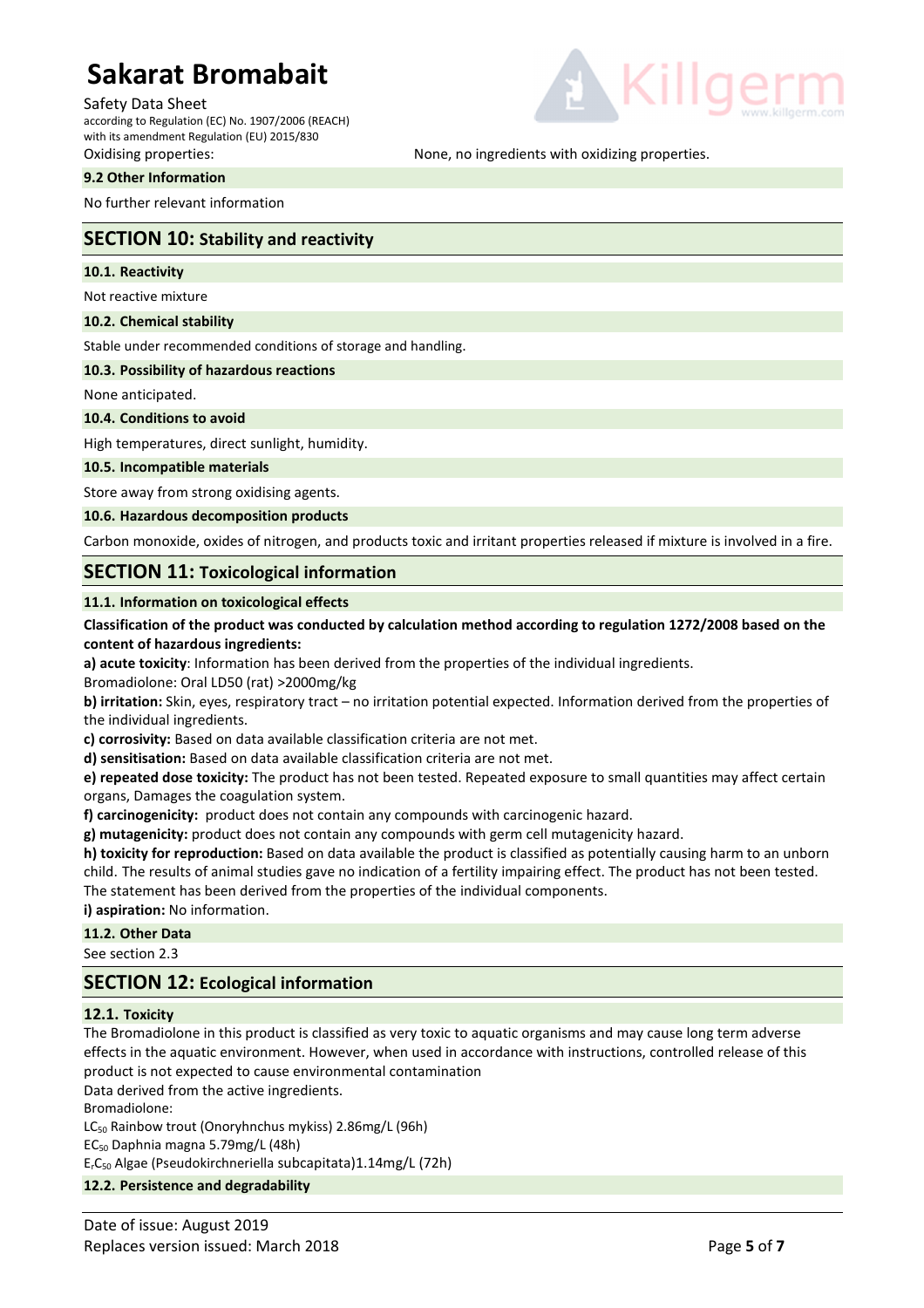Safety Data Sheet

according to Regulation (EC) No. 1907/2006 (REACH) with its amendment Regulation (EU) 2015/830

### **9.2 Other Information**

No further relevant information

# **SECTION 10: Stability and reactivity**

### **10.1. Reactivity**

Not reactive mixture

**10.2. Chemical stability** 

Stable under recommended conditions of storage and handling.

### **10.3. Possibility of hazardous reactions**

None anticipated.

### **10.4. Conditions to avoid**

High temperatures, direct sunlight, humidity.

### **10.5. Incompatible materials**

Store away from strong oxidising agents.

### **10.6. Hazardous decomposition products**

Carbon monoxide, oxides of nitrogen, and products toxic and irritant properties released if mixture is involved in a fire.

# **SECTION 11: Toxicological information**

### **11.1. Information on toxicological effects**

### **Classification of the product was conducted by calculation method according to regulation 1272/2008 based on the content of hazardous ingredients:**

**a) acute toxicity**: Information has been derived from the properties of the individual ingredients.

Bromadiolone: Oral LD50 (rat) >2000mg/kg

**b) irritation:** Skin, eyes, respiratory tract – no irritation potential expected. Information derived from the properties of the individual ingredients.

**c) corrosivity:** Based on data available classification criteria are not met.

**d) sensitisation:** Based on data available classification criteria are not met.

**e) repeated dose toxicity:** The product has not been tested. Repeated exposure to small quantities may affect certain organs, Damages the coagulation system.

**f) carcinogenicity:** product does not contain any compounds with carcinogenic hazard.

**g) mutagenicity:** product does not contain any compounds with germ cell mutagenicity hazard.

**h) toxicity for reproduction:** Based on data available the product is classified as potentially causing harm to an unborn child. The results of animal studies gave no indication of a fertility impairing effect. The product has not been tested. The statement has been derived from the properties of the individual components.

**i) aspiration:** No information.

### **11.2. Other Data**

See section 2.3

# **SECTION 12: Ecological information**

### **12.1. Toxicity**

The Bromadiolone in this product is classified as very toxic to aquatic organisms and may cause long term adverse effects in the aquatic environment. However, when used in accordance with instructions, controlled release of this product is not expected to cause environmental contamination

Data derived from the active ingredients.

Bromadiolone:

LC50 Rainbow trout (Onoryhnchus mykiss) 2.86mg/L (96h)

EC50 Daphnia magna 5.79mg/L (48h)

ErC50 Algae (Pseudokirchneriella subcapitata)1.14mg/L (72h)

### **12.2. Persistence and degradability**



Oxidising properties: None, no ingredients with oxidizing properties.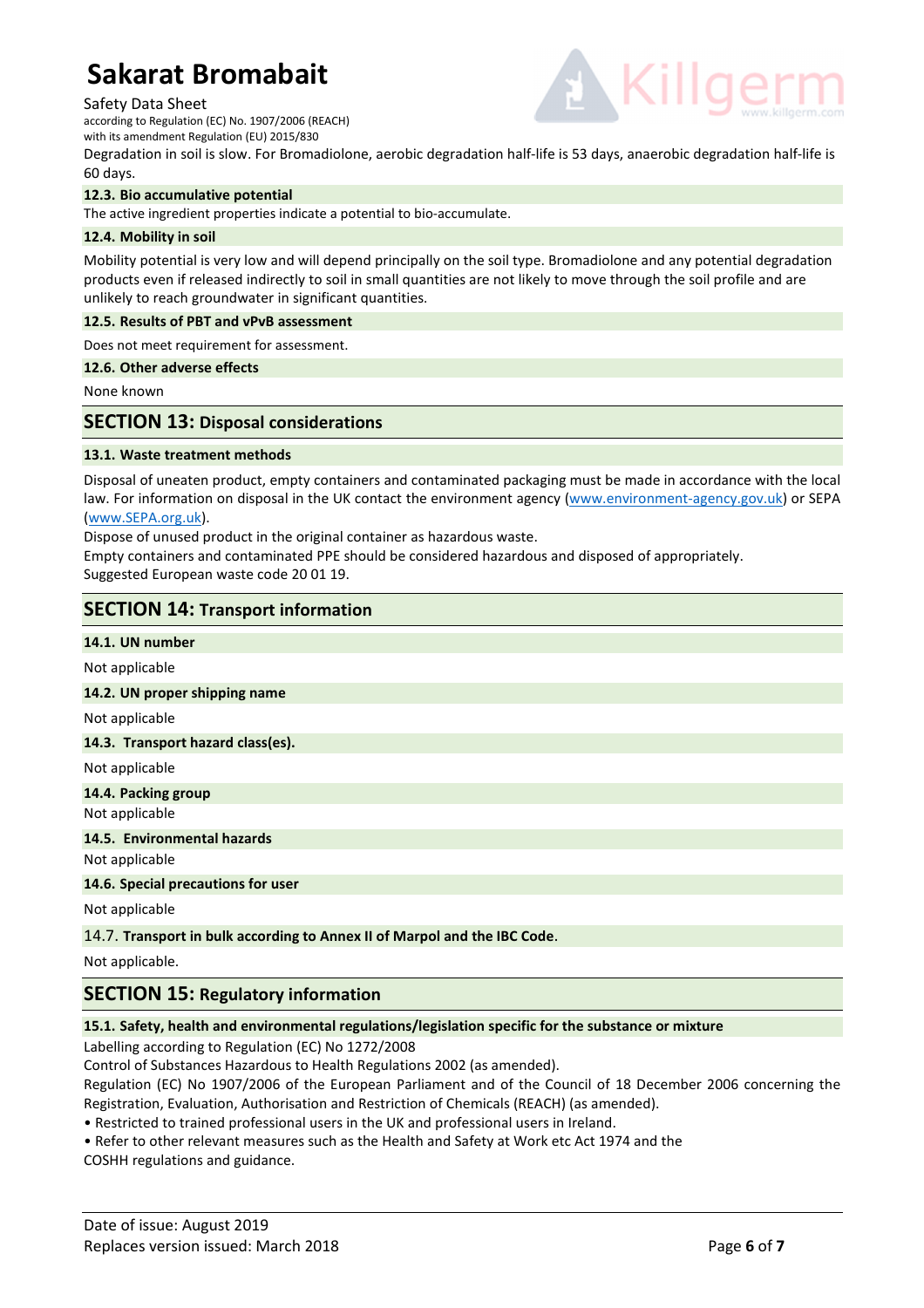### Safety Data Sheet

according to Regulation (EC) No. 1907/2006 (REACH)

with its amendment Regulation (EU) 2015/830

Degradation in soil is slow. For Bromadiolone, aerobic degradation half-life is 53 days, anaerobic degradation half-life is 60 days.

### **12.3. Bio accumulative potential**

The active ingredient properties indicate a potential to bio-accumulate.

### **12.4. Mobility in soil**

Mobility potential is very low and will depend principally on the soil type. Bromadiolone and any potential degradation products even if released indirectly to soil in small quantities are not likely to move through the soil profile and are unlikely to reach groundwater in significant quantities.

### **12.5. Results of PBT and vPvB assessment**

Does not meet requirement for assessment.

### **12.6. Other adverse effects**

None known

# **SECTION 13: Disposal considerations**

### **13.1. Waste treatment methods**

Disposal of uneaten product, empty containers and contaminated packaging must be made in accordance with the local law. For information on disposal in the UK contact the environment agency (www.environment-agency.gov.uk) or SEPA (www.SEPA.org.uk).

Dispose of unused product in the original container as hazardous waste.

Empty containers and contaminated PPE should be considered hazardous and disposed of appropriately. Suggested European waste code 20 01 19.

# **SECTION 14: Transport information**

### **14.1. UN number**

Not applicable

### **14.2. UN proper shipping name**

Not applicable

### **14.3. Transport hazard class(es).**

Not applicable

### **14.4. Packing group**  Not applicable

**14.5. Environmental hazards** 

Not applicable

**14.6. Special precautions for user** 

Not applicable

### 14.7. **Transport in bulk according to Annex II of Marpol and the IBC Code**.

Not applicable.

# **SECTION 15: Regulatory information**

# **15.1. Safety, health and environmental regulations/legislation specific for the substance or mixture**

Labelling according to Regulation (EC) No 1272/2008

Control of Substances Hazardous to Health Regulations 2002 (as amended).

Regulation (EC) No 1907/2006 of the European Parliament and of the Council of 18 December 2006 concerning the Registration, Evaluation, Authorisation and Restriction of Chemicals (REACH) (as amended).

• Restricted to trained professional users in the UK and professional users in Ireland.

• Refer to other relevant measures such as the Health and Safety at Work etc Act 1974 and the

COSHH regulations and guidance.